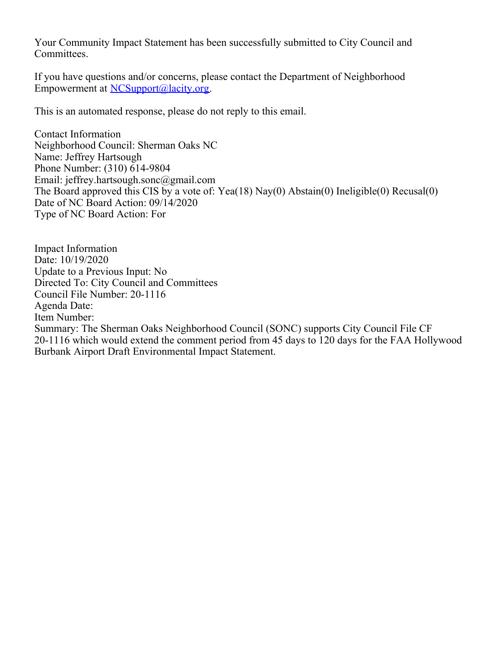Your Community Impact Statement has been successfully submitted to City Council and Committees.

If you have questions and/or concerns, please contact the Department of Neighborhood Empowerment at [NCSupport@lacity.org](mailto:NCSupport@lacity.org).

This is an automated response, please do not reply to this email.

Contact Information Neighborhood Council: Sherman Oaks NC Name: Jeffrey Hartsough Phone Number: (310) 614-9804 Email: jeffrey.hartsough.sonc@gmail.com The Board approved this CIS by a vote of: Yea(18) Nay(0) Abstain(0) Ineligible(0) Recusal(0) Date of NC Board Action: 09/14/2020 Type of NC Board Action: For

Impact Information Date: 10/19/2020 Update to a Previous Input: No Directed To: City Council and Committees Council File Number: 20-1116 Agenda Date: Item Number: Summary: The Sherman Oaks Neighborhood Council (SONC) supports City Council File CF 20-1116 which would extend the comment period from 45 days to 120 days for the FAA Hollywood Burbank Airport Draft Environmental Impact Statement.